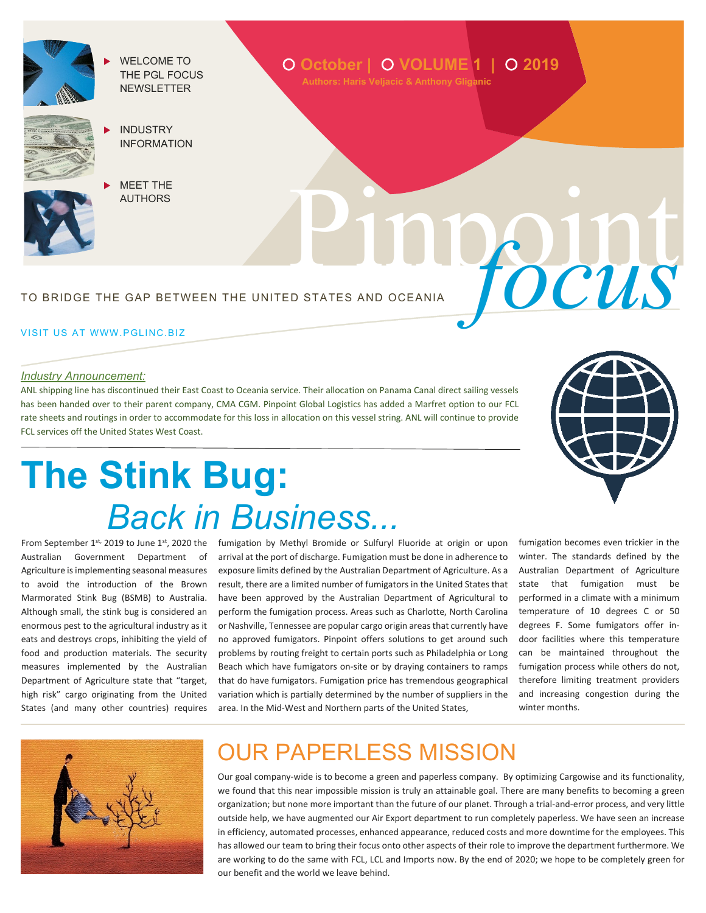

 WELCOME TO THE PGL FOCUS **NEWSLETTER** 



- INDUSTRY INFORMATION
- [MEET](#page-1-0) THE AUTHORS

TO BRIDGE THE GAP BETWEEN THE UNITED STATES AND OCEANIA

#### VISIT US AT WWW.PGLINC.BIZ

#### *Industry Announcement:*

ANL shipping line has discontinued their East Coast to Oceania service. Their allocation on Panama Canal direct sailing vessels has been handed over to their parent company, CMA CGM. Pinpoint Global Logistics has added a Marfret option to our FCL rate sheets and routings in order to accommodate for this loss in allocation on this vessel string. ANL will continue to provide FCL services off the United States West Coast.



Pinpoint *focus*

# **The Stink Bug:**  *Back in Business...*

From September  $1^{st}$ , 2019 to June  $1^{st}$ , 2020 the Australian Government Department of Agriculture is implementing seasonal measures to avoid the introduction of the Brown Marmorated Stink Bug (BSMB) to Australia. Although small, the stink bug is considered an enormous pest to the agricultural industry as it eats and destroys crops, inhibiting the yield of food and production materials. The security measures implemented by the Australian Department of Agriculture state that "target, high risk" cargo originating from the United States (and many other countries) requires

fumigation by Methyl Bromide or Sulfuryl Fluoride at origin or upon arrival at the port of discharge. Fumigation must be done in adherence to exposure limits defined by the Australian Department of Agriculture. As a result, there are a limited number of fumigators in the United States that have been approved by the Australian Department of Agricultural to perform the fumigation process. Areas such as Charlotte, North Carolina or Nashville, Tennessee are popular cargo origin areas that currently have no approved fumigators. Pinpoint offers solutions to get around such problems by routing freight to certain ports such as Philadelphia or Long Beach which have fumigators on-site or by draying containers to ramps that do have fumigators. Fumigation price has tremendous geographical variation which is partially determined by the number of suppliers in the area. In the Mid-West and Northern parts of the United States,

fumigation becomes even trickier in the winter. The standards defined by the Australian Department of Agriculture state that fumigation must be performed in a climate with a minimum temperature of 10 degrees C or 50 degrees F. Some fumigators offer indoor facilities where this temperature can be maintained throughout the fumigation process while others do not, therefore limiting treatment providers and increasing congestion during the winter months.



### OUR PAPERLESS MISSION

Our goal company-wide is to become a green and paperless company. By optimizing Cargowise and its functionality, we found that this near impossible mission is truly an attainable goal. There are many benefits to becoming a green organization; but none more important than the future of our planet. Through a trial-and-error process, and very little outside help, we have augmented our Air Export department to run completely paperless. We have seen an increase in efficiency, automated processes, enhanced appearance, reduced costs and more downtime for the employees. This has allowed our team to bring their focus onto other aspects of their role to improve the department furthermore. We are working to do the same with FCL, LCL and Imports now. By the end of 2020; we hope to be completely green for our benefit and the world we leave behind.

## **October <sup>|</sup> VOLUME 1 | 2019 Authors: Haris Veljacic & Anthony Gliganic**